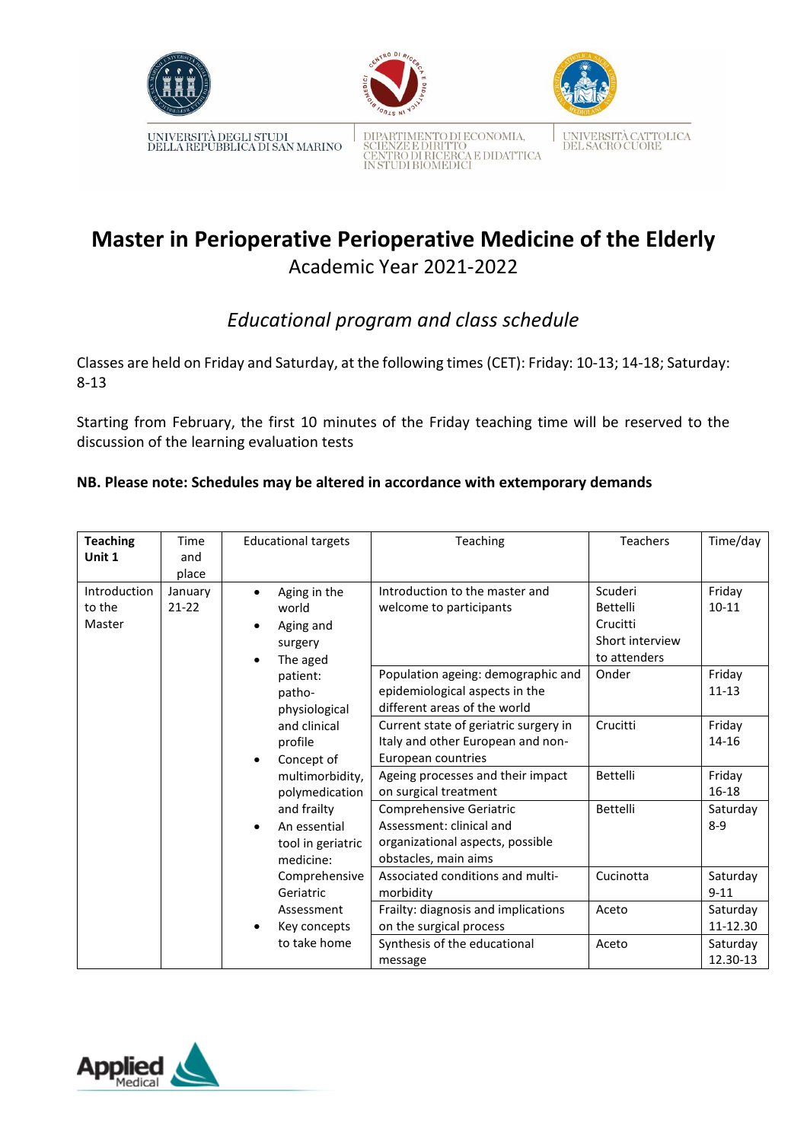





UNIVERSITÀ CATTOLICA<br>DEL SACRO CUORE

UNIVERSITÀ DEGLI STUDI<br>DELLA REPUBBLICA DI SAN MARINO

O DI ECONOMIA, NZE E DIRITTO<br>FRO DI RICERCA E DIDATTICA<br>UDI BIOMEDICI

#### **Master in Perioperative Perioperative Medicine of the Elderly** Academic Year 2021-2022

#### *Educational program and class schedule*

Classes are held on Friday and Saturday, at the following times (CET): Friday: 10-13; 14-18; Saturday: 8-13

Starting from February, the first 10 minutes of the Friday teaching time will be reserved to the discussion of the learning evaluation tests

#### **NB. Please note: Schedules may be altered in accordance with extemporary demands**

| <b>Teaching</b> | Time      | <b>Educational targets</b> | Teaching                              | <b>Teachers</b> | Time/day  |
|-----------------|-----------|----------------------------|---------------------------------------|-----------------|-----------|
| Unit 1          | and       |                            |                                       |                 |           |
|                 | place     |                            |                                       |                 |           |
| Introduction    | January   | Aging in the<br>$\bullet$  | Introduction to the master and        | Scuderi         | Friday    |
| to the          | $21 - 22$ | world                      | welcome to participants               | Bettelli        | $10 - 11$ |
| Master          |           | Aging and<br>$\bullet$     |                                       | Crucitti        |           |
|                 |           | surgery                    |                                       | Short interview |           |
|                 |           | The aged<br>$\bullet$      |                                       | to attenders    |           |
|                 |           | patient:                   | Population ageing: demographic and    | Onder           | Friday    |
|                 |           | patho-                     | epidemiological aspects in the        |                 | $11 - 13$ |
|                 |           | physiological              | different areas of the world          |                 |           |
|                 |           | and clinical               | Current state of geriatric surgery in | Crucitti        | Friday    |
|                 |           | profile                    | Italy and other European and non-     |                 | 14-16     |
|                 |           | Concept of<br>$\bullet$    | European countries                    |                 |           |
|                 |           | multimorbidity,            | Ageing processes and their impact     | Bettelli        | Friday    |
|                 |           | polymedication             | on surgical treatment                 |                 | 16-18     |
|                 |           | and frailty                | Comprehensive Geriatric               | Bettelli        | Saturday  |
|                 |           | An essential<br>$\bullet$  | Assessment: clinical and              |                 | $8 - 9$   |
|                 |           | tool in geriatric          | organizational aspects, possible      |                 |           |
|                 |           | medicine:                  | obstacles, main aims                  |                 |           |
|                 |           | Comprehensive              | Associated conditions and multi-      | Cucinotta       | Saturday  |
|                 |           | Geriatric                  | morbidity                             |                 | $9 - 11$  |
|                 |           | Assessment                 | Frailty: diagnosis and implications   | Aceto           | Saturday  |
|                 |           | Key concepts<br>٠          | on the surgical process               |                 | 11-12.30  |
|                 |           | to take home               | Synthesis of the educational          | Aceto           | Saturday  |
|                 |           |                            | message                               |                 | 12.30-13  |

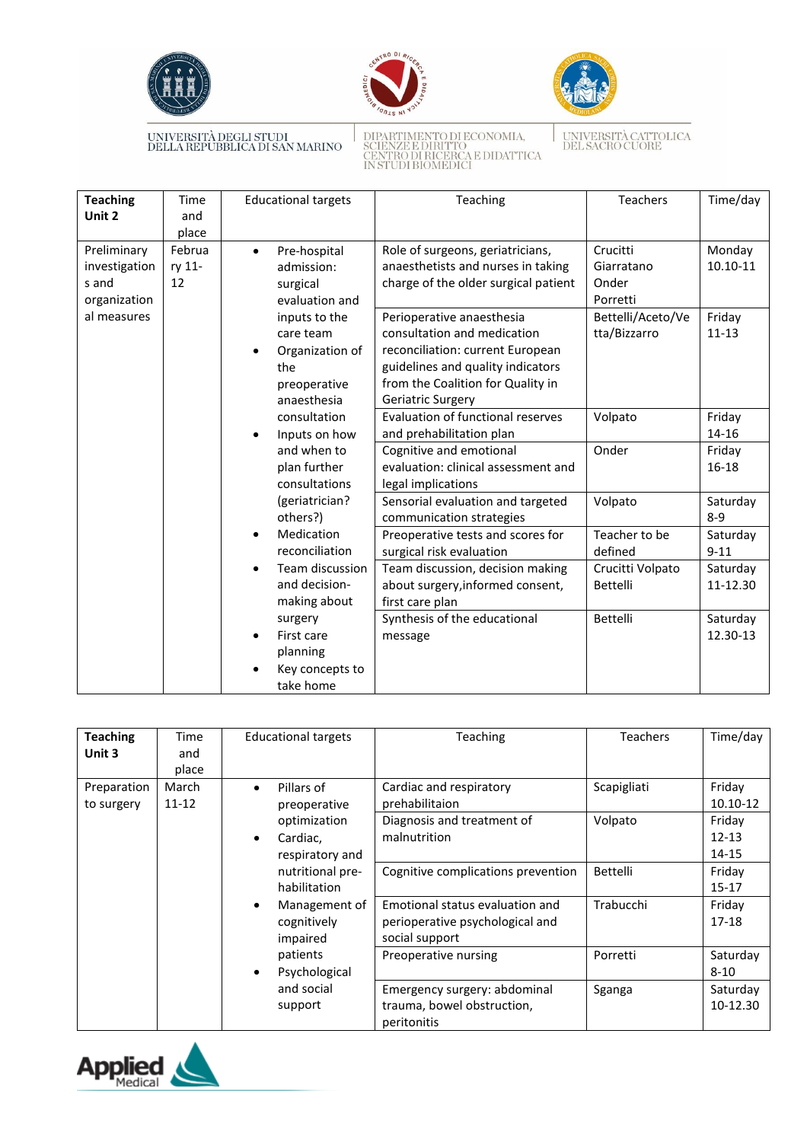





DIPARTIMENTO DI ECONOMIA,<br>SCIENZE E DIRITTO<br>CENTRO DI RICERCA E DIDATTICA<br>IN STUDI BIOMEDICI

 $\begin{tabular}{|c|c|} \hline UNIVERSITÀ CATTOLICA \\ DELSACRO CUORE \end{tabular}$ 

| <b>Teaching</b><br>Unit 2                             | Time<br>and<br>place   | <b>Educational targets</b>                                                                       | Teaching                                                                                                                                                                                    | <b>Teachers</b>                             | Time/day             |
|-------------------------------------------------------|------------------------|--------------------------------------------------------------------------------------------------|---------------------------------------------------------------------------------------------------------------------------------------------------------------------------------------------|---------------------------------------------|----------------------|
| Preliminary<br>investigation<br>s and<br>organization | Februa<br>ry 11-<br>12 | Pre-hospital<br>$\bullet$<br>admission:<br>surgical<br>evaluation and                            | Role of surgeons, geriatricians,<br>anaesthetists and nurses in taking<br>charge of the older surgical patient                                                                              | Crucitti<br>Giarratano<br>Onder<br>Porretti | Monday<br>10.10-11   |
| al measures                                           |                        | inputs to the<br>care team<br>Organization of<br>$\bullet$<br>the<br>preoperative<br>anaesthesia | Perioperative anaesthesia<br>consultation and medication<br>reconciliation: current European<br>guidelines and quality indicators<br>from the Coalition for Quality in<br>Geriatric Surgery | Bettelli/Aceto/Ve<br>tta/Bizzarro           | Friday<br>$11 - 13$  |
|                                                       |                        | consultation<br>Inputs on how<br>$\bullet$                                                       | Evaluation of functional reserves<br>and prehabilitation plan                                                                                                                               | Volpato                                     | Friday<br>14-16      |
|                                                       |                        | and when to<br>plan further<br>consultations                                                     | Cognitive and emotional<br>evaluation: clinical assessment and<br>legal implications                                                                                                        | Onder                                       | Friday<br>$16 - 18$  |
|                                                       |                        | (geriatrician?<br>others?)                                                                       | Sensorial evaluation and targeted<br>communication strategies                                                                                                                               | Volpato                                     | Saturday<br>$8 - 9$  |
|                                                       |                        | Medication<br>$\bullet$<br>reconciliation                                                        | Preoperative tests and scores for<br>surgical risk evaluation                                                                                                                               | Teacher to be<br>defined                    | Saturday<br>$9 - 11$ |
|                                                       |                        | Team discussion<br>$\bullet$<br>and decision-<br>making about                                    | Team discussion, decision making<br>about surgery, informed consent,<br>first care plan                                                                                                     | Crucitti Volpato<br><b>Bettelli</b>         | Saturday<br>11-12.30 |
|                                                       |                        | surgery<br>First care<br>$\bullet$<br>planning<br>Key concepts to<br>take home                   | Synthesis of the educational<br>message                                                                                                                                                     | <b>Bettelli</b>                             | Saturday<br>12.30-13 |

| <b>Teaching</b><br>Unit 3 | Time<br>and<br>place  | <b>Educational targets</b>                                                | <b>Teaching</b>                                                                      | <b>Teachers</b>      | Time/day                     |
|---------------------------|-----------------------|---------------------------------------------------------------------------|--------------------------------------------------------------------------------------|----------------------|------------------------------|
| Preparation<br>to surgery | March<br>$11 - 12$    | Pillars of<br>$\bullet$<br>preoperative                                   | Cardiac and respiratory<br>prehabilitaion                                            | Scapigliati          | Friday<br>10.10-12           |
|                           |                       | optimization<br>Cardiac,<br>$\bullet$<br>respiratory and                  | Diagnosis and treatment of<br>malnutrition                                           | Volpato              | Friday<br>$12 - 13$<br>14-15 |
|                           |                       | nutritional pre-<br>habilitation                                          | Cognitive complications prevention                                                   | <b>Bettelli</b>      | Friday<br>$15 - 17$          |
|                           |                       | Management of<br>$\bullet$<br>cognitively<br>impaired                     | Emotional status evaluation and<br>perioperative psychological and<br>social support | Trabucchi            | Friday<br>$17 - 18$          |
|                           |                       | patients<br>Psychological<br>$\bullet$                                    | Preoperative nursing                                                                 | Porretti             | Saturday<br>$8 - 10$         |
|                           | and social<br>support | Emergency surgery: abdominal<br>trauma, bowel obstruction,<br>peritonitis | Sganga                                                                               | Saturday<br>10-12.30 |                              |

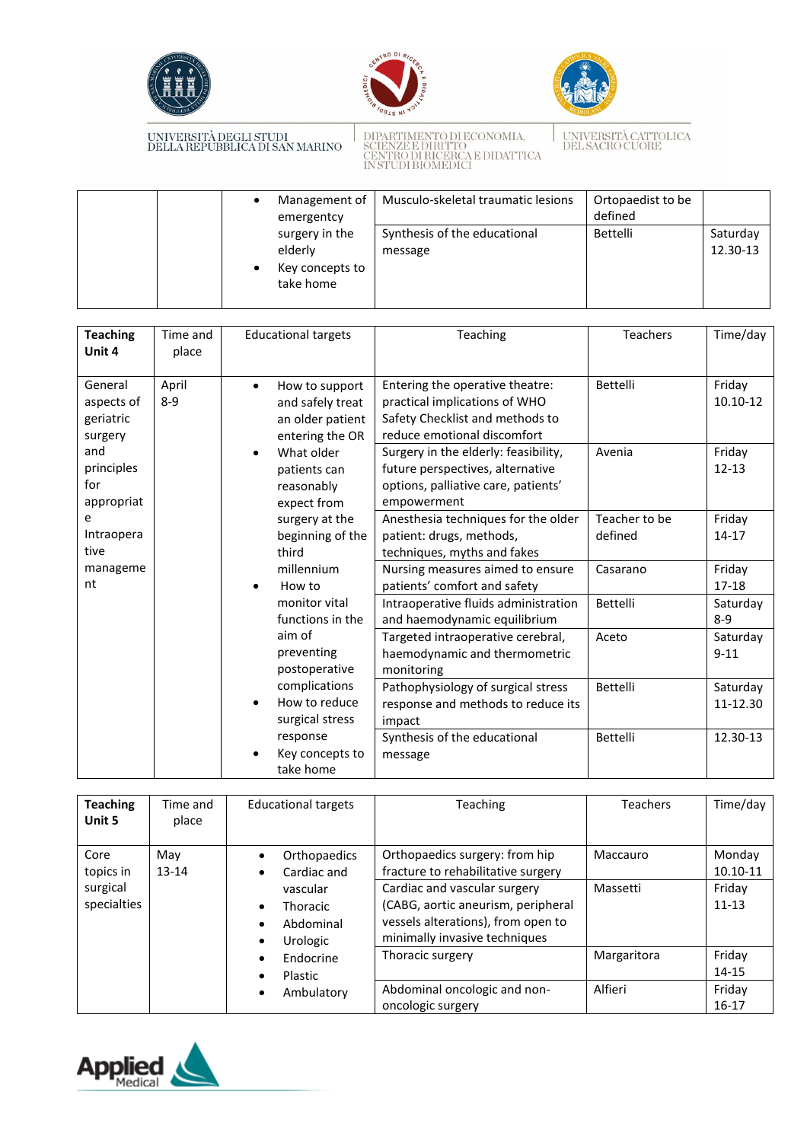





# DIPARTIMENTO DI ECONOMIA,<br>SCIENZE E DIRITTO<br>CENTRO DI RICERCA E DIDATTICA<br>IN STUDI BIOMEDICI

#### | UNIVERSITÀ CATTOLICA<br>DEL SACRO CUORE

|  | Management of<br>emergentcy                               | Musculo-skeletal traumatic lesions      | Ortopaedist to be<br>defined |                      |
|--|-----------------------------------------------------------|-----------------------------------------|------------------------------|----------------------|
|  | surgery in the<br>elderly<br>Key concepts to<br>take home | Synthesis of the educational<br>message | <b>Bettelli</b>              | Saturday<br>12.30-13 |

| <b>Teaching</b><br>Unit 4                            | Time and<br>place | <b>Educational targets</b>                                                              | Teaching                                                                                                                                                                   | <b>Teachers</b>          | Time/day                         |
|------------------------------------------------------|-------------------|-----------------------------------------------------------------------------------------|----------------------------------------------------------------------------------------------------------------------------------------------------------------------------|--------------------------|----------------------------------|
| General<br>aspects of<br>geriatric<br>surgery<br>and | April<br>$8 - 9$  | How to support<br>and safely treat<br>an older patient<br>entering the OR<br>What older | Entering the operative theatre:<br>practical implications of WHO<br>Safety Checklist and methods to<br>reduce emotional discomfort<br>Surgery in the elderly: feasibility, | Bettelli<br>Avenia       | Friday<br>$10.10 - 12$<br>Friday |
| principles<br>for<br>appropriat                      |                   | patients can<br>reasonably<br>expect from                                               | future perspectives, alternative<br>options, palliative care, patients'<br>empowerment                                                                                     |                          | $12 - 13$                        |
| e<br>Intraopera<br>tive                              |                   | surgery at the<br>beginning of the<br>third                                             | Anesthesia techniques for the older<br>patient: drugs, methods,<br>techniques, myths and fakes                                                                             | Teacher to be<br>defined | Friday<br>$14 - 17$              |
| manageme<br>nt                                       |                   | millennium<br>How to                                                                    | Nursing measures aimed to ensure<br>patients' comfort and safety                                                                                                           | Casarano                 | Friday<br>$17 - 18$              |
|                                                      |                   | monitor vital<br>functions in the                                                       | Intraoperative fluids administration<br>and haemodynamic equilibrium                                                                                                       | Bettelli                 | Saturday<br>$8 - 9$              |
|                                                      |                   | aim of<br>preventing<br>postoperative                                                   | Targeted intraoperative cerebral,<br>haemodynamic and thermometric<br>monitoring                                                                                           | Aceto                    | Saturday<br>$9 - 11$             |
|                                                      |                   | complications<br>How to reduce<br>surgical stress                                       | Pathophysiology of surgical stress<br>response and methods to reduce its<br>impact                                                                                         | Bettelli                 | Saturday<br>11-12.30             |
|                                                      |                   | response<br>Key concepts to<br>take home                                                | Synthesis of the educational<br>message                                                                                                                                    | Bettelli                 | 12.30-13                         |

| <b>Teaching</b><br>Unit 5 | Time and<br>place | <b>Educational targets</b>                           | Teaching                                                                                                                                  | <b>Teachers</b> | Time/day            |
|---------------------------|-------------------|------------------------------------------------------|-------------------------------------------------------------------------------------------------------------------------------------------|-----------------|---------------------|
| Core<br>topics in         | May<br>$13 - 14$  | <b>Orthopaedics</b><br>Cardiac and                   | Orthopaedics surgery: from hip<br>fracture to rehabilitative surgery                                                                      | Maccauro        | Monday<br>10.10-11  |
| surgical<br>specialties   |                   | vascular<br><b>Thoracic</b><br>Abdominal<br>Urologic | Cardiac and vascular surgery<br>(CABG, aortic aneurism, peripheral<br>vessels alterations), from open to<br>minimally invasive techniques | Massetti        | Friday<br>$11 - 13$ |
|                           |                   | Endocrine<br>Plastic                                 | Thoracic surgery                                                                                                                          | Margaritora     | Friday<br>14-15     |
|                           |                   | Ambulatory                                           | Abdominal oncologic and non-<br>oncologic surgery                                                                                         | Alfieri         | Friday<br>$16-17$   |

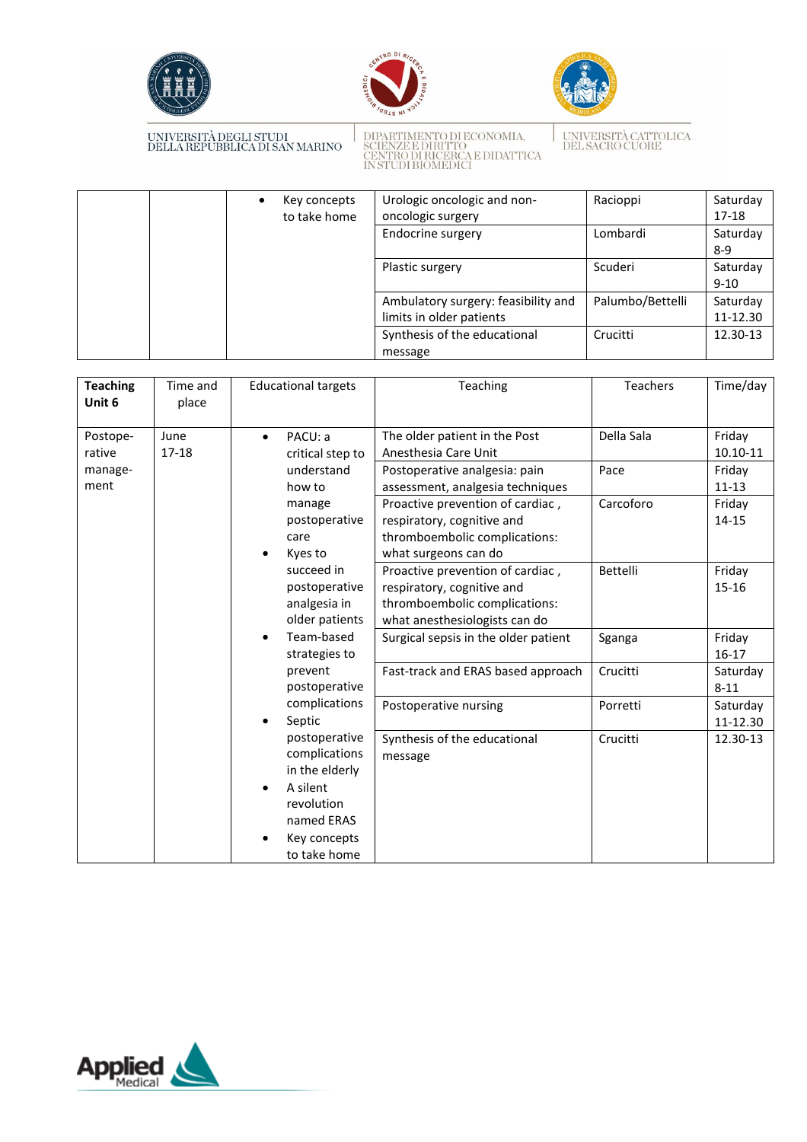





DIPARTIMENTO DI ECONOMIA,<br>SCIENZE E DIRITTO<br>CENTRO DI RICERCA E DIDATTICA<br>IN STUDI BIOMEDICI

#### $\begin{tabular}{|c|c|} \hline UNIVERSITÀ CATTOLICA \\ DELSACRO CUORE \end{tabular}$

|  | Key concepts<br>to take home | Urologic oncologic and non-<br>oncologic surgery | Racioppi         | Saturday<br>17-18    |
|--|------------------------------|--------------------------------------------------|------------------|----------------------|
|  |                              | Endocrine surgery                                | Lombardi         | Saturday             |
|  |                              |                                                  |                  | 8-9                  |
|  |                              | Plastic surgery                                  | Scuderi          | Saturday<br>$9 - 10$ |
|  |                              | Ambulatory surgery: feasibility and              | Palumbo/Bettelli | Saturday             |
|  |                              | limits in older patients                         |                  | 11-12.30             |
|  |                              | Synthesis of the educational                     | Crucitti         | 12.30-13             |
|  |                              | message                                          |                  |                      |

| <b>Teaching</b><br>Unit 6     | Time and<br>place | <b>Educational targets</b>                             | Teaching                                                                               | Teachers           | Time/day                     |
|-------------------------------|-------------------|--------------------------------------------------------|----------------------------------------------------------------------------------------|--------------------|------------------------------|
| Postope-<br>rative<br>manage- | June<br>$17-18$   | PACU: a<br>$\bullet$<br>critical step to<br>understand | The older patient in the Post<br>Anesthesia Care Unit<br>Postoperative analgesia: pain | Della Sala<br>Pace | Friday<br>10.10-11<br>Friday |
| ment                          |                   | how to                                                 | assessment, analgesia techniques                                                       |                    | $11 - 13$                    |
|                               |                   | manage                                                 | Proactive prevention of cardiac,                                                       | Carcoforo          | Friday                       |
|                               |                   | postoperative                                          | respiratory, cognitive and                                                             |                    | $14 - 15$                    |
|                               |                   | care                                                   | thromboembolic complications:                                                          |                    |                              |
|                               |                   | Kyes to                                                | what surgeons can do                                                                   |                    |                              |
|                               |                   | succeed in                                             | Proactive prevention of cardiac,                                                       | <b>Bettelli</b>    | Friday                       |
|                               |                   | postoperative                                          | respiratory, cognitive and                                                             |                    | $15 - 16$                    |
|                               |                   | analgesia in<br>older patients                         | thromboembolic complications:<br>what anesthesiologists can do                         |                    |                              |
|                               |                   | Team-based                                             | Surgical sepsis in the older patient                                                   |                    | Friday                       |
|                               |                   | strategies to                                          |                                                                                        | Sganga             | $16 - 17$                    |
|                               |                   | prevent<br>postoperative                               | Fast-track and ERAS based approach                                                     | Crucitti           | Saturday<br>$8 - 11$         |
|                               |                   | complications<br>Septic                                | Postoperative nursing                                                                  | Porretti           | Saturday<br>11-12.30         |
|                               |                   | postoperative<br>complications<br>in the elderly       | Synthesis of the educational<br>message                                                | Crucitti           | 12.30-13                     |
|                               |                   | A silent                                               |                                                                                        |                    |                              |
|                               |                   | revolution<br>named ERAS                               |                                                                                        |                    |                              |
|                               |                   | Key concepts                                           |                                                                                        |                    |                              |
|                               |                   | to take home                                           |                                                                                        |                    |                              |

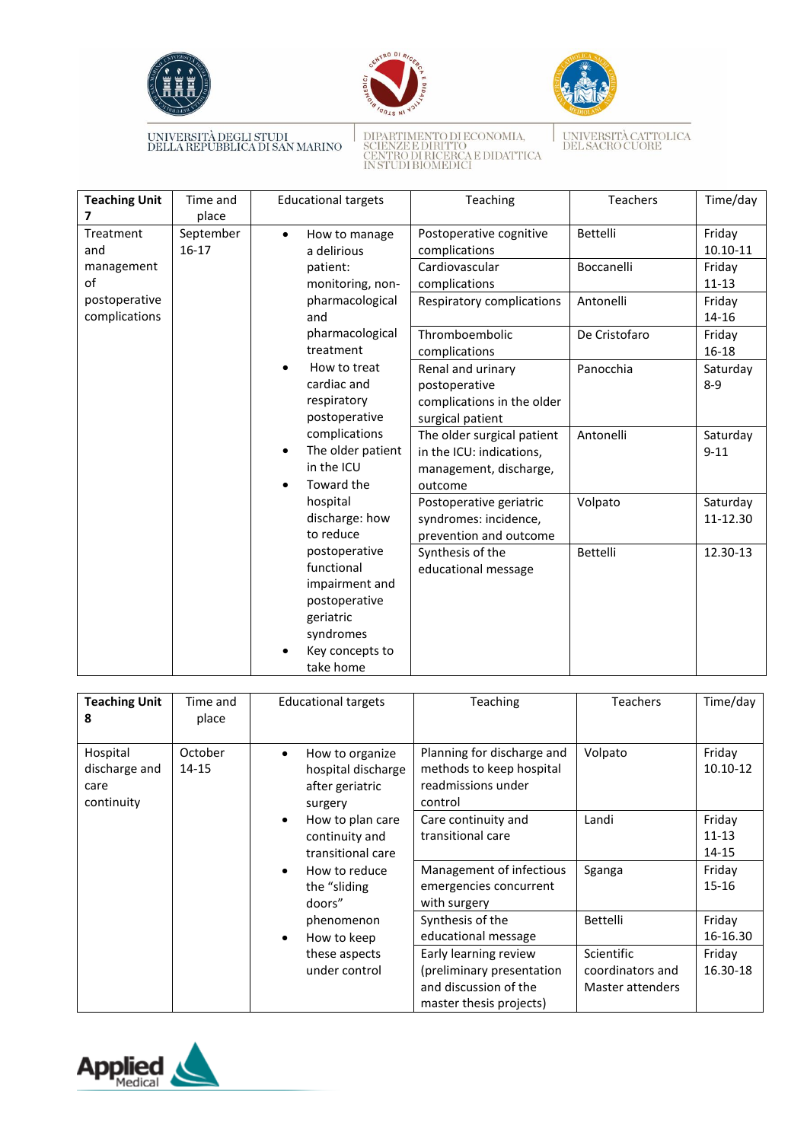





DIPARTIMENTO DI ECONOMIA,<br>SCIENZE E DIRITTO<br>CENTRO DI RICERCA E DIDATTICA<br>IN STUDI BIOMEDICI

#### | UNIVERSITÀ CATTOLICA<br>DEL SACRO CUORE

| <b>Teaching Unit</b><br>7      | Time and<br>place      | <b>Educational targets</b>                                                                                               | Teaching                                                                                    | <b>Teachers</b> | Time/day             |
|--------------------------------|------------------------|--------------------------------------------------------------------------------------------------------------------------|---------------------------------------------------------------------------------------------|-----------------|----------------------|
| Treatment<br>and               | September<br>$16 - 17$ | How to manage<br>$\bullet$<br>a delirious                                                                                | Postoperative cognitive<br>complications                                                    | <b>Bettelli</b> | Friday<br>10.10-11   |
| management<br>of               |                        | patient:<br>monitoring, non-                                                                                             | Cardiovascular<br>complications                                                             | Boccanelli      | Friday<br>$11 - 13$  |
| postoperative<br>complications |                        | pharmacological<br>and                                                                                                   | Respiratory complications                                                                   | Antonelli       | Friday<br>14-16      |
|                                |                        | pharmacological<br>treatment                                                                                             | Thromboembolic<br>complications                                                             | De Cristofaro   | Friday<br>16-18      |
|                                |                        | How to treat<br>$\bullet$<br>cardiac and<br>respiratory<br>postoperative                                                 | Renal and urinary<br>postoperative<br>complications in the older<br>surgical patient        | Panocchia       | Saturday<br>$8 - 9$  |
|                                |                        | complications<br>The older patient<br>$\bullet$<br>in the ICU<br>Toward the<br>$\bullet$                                 | The older surgical patient<br>in the ICU: indications,<br>management, discharge,<br>outcome | Antonelli       | Saturday<br>$9 - 11$ |
|                                |                        | hospital<br>discharge: how<br>to reduce                                                                                  | Postoperative geriatric<br>syndromes: incidence,<br>prevention and outcome                  | Volpato         | Saturday<br>11-12.30 |
|                                |                        | postoperative<br>functional<br>impairment and<br>postoperative<br>geriatric<br>syndromes<br>Key concepts to<br>take home | Synthesis of the<br>educational message                                                     | Bettelli        | 12.30-13             |

| <b>Teaching Unit</b><br>8                       | Time and<br>place | <b>Educational targets</b>                                                       | Teaching                                                                                               | <b>Teachers</b>                                    | Time/day                     |
|-------------------------------------------------|-------------------|----------------------------------------------------------------------------------|--------------------------------------------------------------------------------------------------------|----------------------------------------------------|------------------------------|
| Hospital<br>discharge and<br>care<br>continuity | October<br>14-15  | How to organize<br>$\bullet$<br>hospital discharge<br>after geriatric<br>surgery | Planning for discharge and<br>methods to keep hospital<br>readmissions under<br>control                | Volpato                                            | Friday<br>10.10-12           |
|                                                 |                   | How to plan care<br>$\bullet$<br>continuity and<br>transitional care             | Care continuity and<br>transitional care                                                               | Landi                                              | Friday<br>$11 - 13$<br>14-15 |
|                                                 |                   | How to reduce<br>$\bullet$<br>the "sliding<br>doors"                             | Management of infectious<br>emergencies concurrent<br>with surgery                                     | Sganga                                             | Friday<br>$15 - 16$          |
|                                                 |                   | phenomenon<br>How to keep<br>$\bullet$                                           | Synthesis of the<br>educational message                                                                | Bettelli                                           | Friday<br>16-16.30           |
|                                                 |                   | these aspects<br>under control                                                   | Early learning review<br>(preliminary presentation<br>and discussion of the<br>master thesis projects) | Scientific<br>coordinators and<br>Master attenders | Friday<br>16.30-18           |

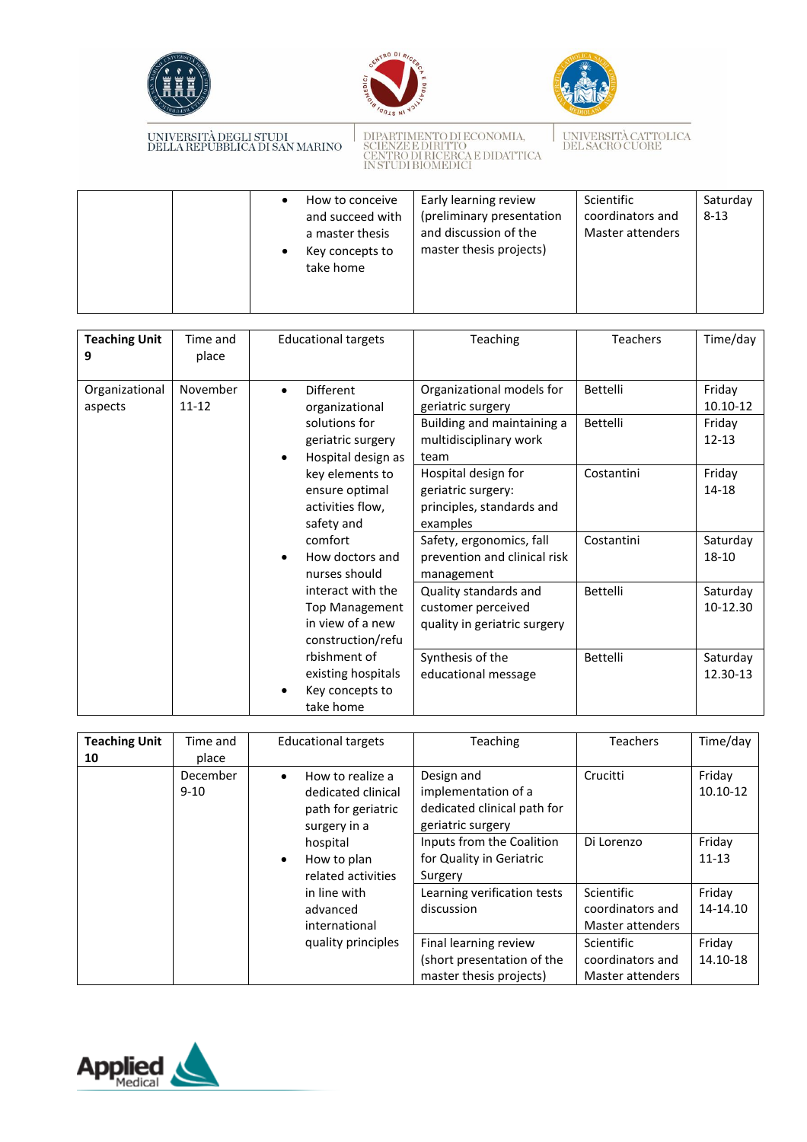





UNIVERSITÀ CATTOLICA<br>DEL SACRO CUORE

#### UNIVERSITÀ DEGLI STUDI<br>DELLA REPUBBLICA DI SAN MARINO

## DIPARTIMENTO DI ECONOMIA,<br>SCIENZE E DIRITTO<br>CENTRO DI RICERCA E DIDATTICA<br>IN STUDI BIOMEDICI

#### • How to conceive and succeed with a master thesis • Key concepts to take home Early learning review (preliminary presentation and discussion of the master thesis projects) Scientific coordinators and Master attenders Saturday 8-13

| <b>Teaching Unit</b><br>9 | Time and<br>place     | <b>Educational targets</b>                                                                                               | Teaching                                                                                                       | <b>Teachers</b>      | Time/day                                  |
|---------------------------|-----------------------|--------------------------------------------------------------------------------------------------------------------------|----------------------------------------------------------------------------------------------------------------|----------------------|-------------------------------------------|
| Organizational<br>aspects | November<br>$11 - 12$ | <b>Different</b><br>$\bullet$<br>organizational<br>solutions for<br>geriatric surgery<br>Hospital design as<br>$\bullet$ | Organizational models for<br>geriatric surgery<br>Building and maintaining a<br>multidisciplinary work<br>team | Bettelli<br>Bettelli | Friday<br>10.10-12<br>Friday<br>$12 - 13$ |
|                           |                       | key elements to<br>ensure optimal<br>activities flow,<br>safety and                                                      | Hospital design for<br>geriatric surgery:<br>principles, standards and<br>examples                             | Costantini           | Friday<br>14-18                           |
|                           |                       | comfort<br>How doctors and<br>nurses should                                                                              | Safety, ergonomics, fall<br>prevention and clinical risk<br>management                                         | Costantini           | Saturday<br>18-10                         |
|                           |                       | interact with the<br><b>Top Management</b><br>in view of a new<br>construction/refu                                      | Quality standards and<br>customer perceived<br>quality in geriatric surgery                                    | Bettelli             | Saturday<br>10-12.30                      |
|                           |                       | rbishment of<br>existing hospitals<br>Key concepts to<br>take home                                                       | Synthesis of the<br>educational message                                                                        | Bettelli             | Saturday<br>12.30-13                      |

| <b>Teaching Unit</b> | Time and             | <b>Educational targets</b>                                                | Teaching                                                         | <b>Teachers</b>                      | Time/day           |
|----------------------|----------------------|---------------------------------------------------------------------------|------------------------------------------------------------------|--------------------------------------|--------------------|
| 10                   | place                |                                                                           |                                                                  |                                      |                    |
|                      | December<br>$9 - 10$ | How to realize a<br>$\bullet$<br>dedicated clinical<br>path for geriatric | Design and<br>implementation of a<br>dedicated clinical path for | Crucitti                             | Friday<br>10.10-12 |
|                      |                      | surgery in a                                                              | geriatric surgery                                                |                                      |                    |
|                      |                      | hospital                                                                  | Inputs from the Coalition                                        | Di Lorenzo                           | Friday             |
|                      |                      | How to plan<br>$\bullet$                                                  | for Quality in Geriatric                                         |                                      | $11 - 13$          |
|                      |                      | related activities                                                        | Surgery                                                          |                                      |                    |
|                      |                      | in line with                                                              | Learning verification tests                                      | Scientific                           | Friday             |
|                      |                      | advanced                                                                  | discussion                                                       | coordinators and                     | 14-14.10           |
|                      |                      | international                                                             |                                                                  | Master attenders                     |                    |
|                      |                      | quality principles                                                        | Final learning review                                            | Scientific                           | Friday             |
|                      |                      |                                                                           | (short presentation of the<br>master thesis projects)            | coordinators and<br>Master attenders | 14.10-18           |